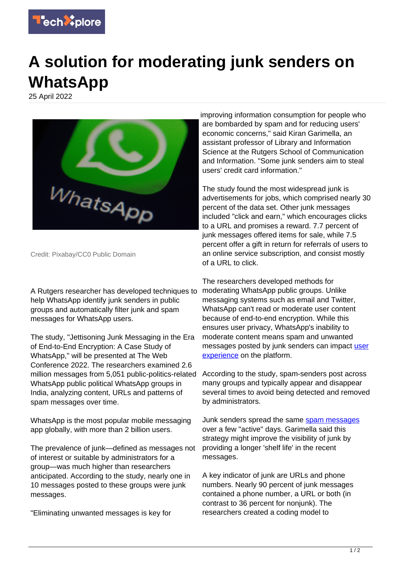

## **A solution for moderating junk senders on WhatsApp**

25 April 2022



Credit: Pixabay/CC0 Public Domain

A Rutgers researcher has developed techniques to help WhatsApp identify junk senders in public groups and automatically filter junk and spam messages for WhatsApp users.

The study, "Jettisoning Junk Messaging in the Era of End-to-End Encryption: A Case Study of WhatsApp," will be presented at The Web Conference 2022. The researchers examined 2.6 million messages from 5,051 public-politics-related WhatsApp public political WhatsApp groups in India, analyzing content, URLs and patterns of spam messages over time.

WhatsApp is the most popular mobile messaging app globally, with more than 2 billion users.

The prevalence of junk—defined as messages not of interest or suitable by administrators for a group—was much higher than researchers anticipated. According to the study, nearly one in 10 messages posted to these groups were junk messages.

"Eliminating unwanted messages is key for

improving information consumption for people who are bombarded by spam and for reducing users' economic concerns," said Kiran Garimella, an assistant professor of Library and Information Science at the Rutgers School of Communication and Information. "Some junk senders aim to steal users' credit card information."

The study found the most widespread junk is advertisements for jobs, which comprised nearly 30 percent of the data set. Other junk messages included "click and earn," which encourages clicks to a URL and promises a reward. 7.7 percent of junk messages offered items for sale, while 7.5 percent offer a gift in return for referrals of users to an online service subscription, and consist mostly of a URL to click.

The researchers developed methods for moderating WhatsApp public groups. Unlike messaging systems such as email and Twitter, WhatsApp can't read or moderate user content because of end-to-end encryption. While this ensures user privacy, WhatsApp's inability to moderate content means spam and unwanted messages posted by junk senders can impact [user](https://techxplore.com/tags/user+experience/) [experience](https://techxplore.com/tags/user+experience/) on the platform.

According to the study, spam-senders post across many groups and typically appear and disappear several times to avoid being detected and removed by administrators.

Junk senders spread the same [spam messages](https://techxplore.com/tags/spam+messages/) over a few "active" days. Garimella said this strategy might improve the visibility of junk by providing a longer 'shelf life' in the recent messages.

A key indicator of junk are URLs and phone numbers. Nearly 90 percent of junk messages contained a phone number, a URL or both (in contrast to 36 percent for nonjunk). The researchers created a coding model to